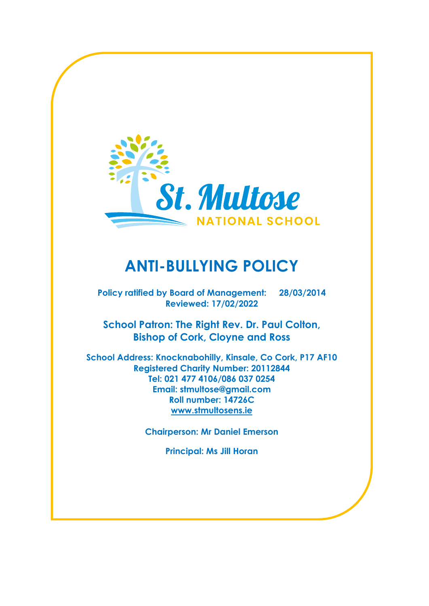

# **ANTI-BULLYING POLICY**

**Policy ratified by Board of Management: 28/03/2014 Reviewed: 17/02/2022**

**School Patron: The Right Rev. Dr. Paul Colton, Bishop of Cork, Cloyne and Ross**

**School Address: Knocknabohilly, Kinsale, Co Cork, P17 AF10 Registered Charity Number: 20112844 Tel: 021 477 4106/086 037 0254 Email: stmultose@gmail.com Roll number: 14726C [www.stmultosens.ie](http://www.stmultosens.ie/)**

**Chairperson: Mr Daniel Emerson**

**Principal: Ms Jill Horan**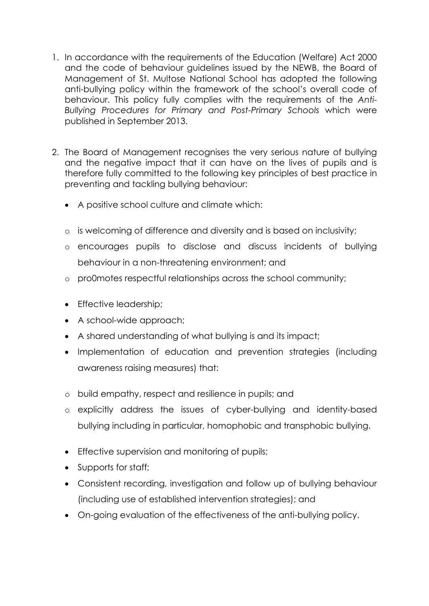- 1. In accordance with the requirements of the Education (Welfare) Act 2000 and the code of behaviour guidelines issued by the NEWB, the Board of Management of St. Multose National School has adopted the following anti-bullying policy within the framework of the school's overall code of behaviour. This policy fully complies with the requirements of the *Anti-Bullying Procedures for Primary and Post-Primary Schools* which were published in September 2013.
- 2. The Board of Management recognises the very serious nature of bullying and the negative impact that it can have on the lives of pupils and is therefore fully committed to the following key principles of best practice in preventing and tackling bullying behaviour:
	- A positive school culture and climate which:
	- o is welcoming of difference and diversity and is based on inclusivity;
	- o encourages pupils to disclose and discuss incidents of bullying behaviour in a non-threatening environment; and
	- o pro0motes respectful relationships across the school community;
	- Effective leadership;
	- A school-wide approach;
	- A shared understanding of what bullying is and its impact;
	- Implementation of education and prevention strategies (including awareness raising measures) that:
	- o build empathy, respect and resilience in pupils; and
	- o explicitly address the issues of cyber-bullying and identity-based bullying including in particular, homophobic and transphobic bullying.
	- Effective supervision and monitoring of pupils;
	- Supports for staff;
	- Consistent recording, investigation and follow up of bullying behaviour (including use of established intervention strategies); and
	- On-going evaluation of the effectiveness of the anti-bullying policy.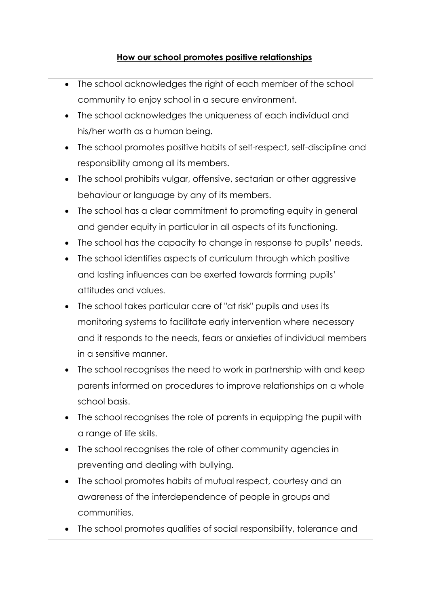#### **How our school promotes positive relationships**

- The school acknowledges the right of each member of the school community to enjoy school in a secure environment.
- The school acknowledges the uniqueness of each individual and his/her worth as a human being.
- The school promotes positive habits of self-respect, self-discipline and responsibility among all its members.
- The school prohibits vulgar, offensive, sectarian or other aggressive behaviour or language by any of its members.
- The school has a clear commitment to promoting equity in general and gender equity in particular in all aspects of its functioning.
- The school has the capacity to change in response to pupils' needs.
- The school identifies aspects of curriculum through which positive and lasting influences can be exerted towards forming pupils' attitudes and values.
- The school takes particular care of "at risk" pupils and uses its monitoring systems to facilitate early intervention where necessary and it responds to the needs, fears or anxieties of individual members in a sensitive manner.
- The school recognises the need to work in partnership with and keep parents informed on procedures to improve relationships on a whole school basis.
- The school recognises the role of parents in equipping the pupil with a range of life skills.
- The school recognises the role of other community agencies in preventing and dealing with bullying.
- The school promotes habits of mutual respect, courtesy and an awareness of the interdependence of people in groups and communities.
- The school promotes qualities of social responsibility, tolerance and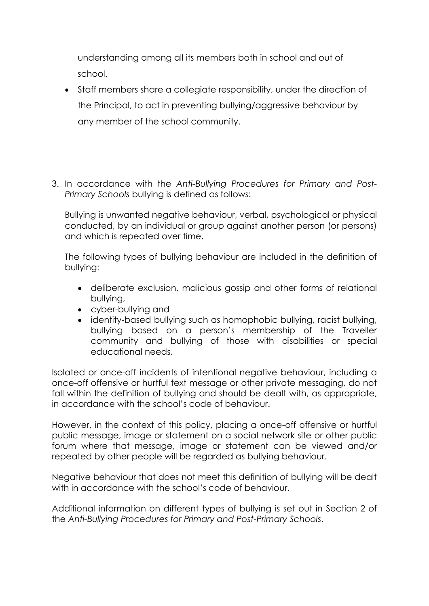understanding among all its members both in school and out of school.

- Staff members share a collegiate responsibility, under the direction of the Principal, to act in preventing bullying/aggressive behaviour by any member of the school community.
- 3. In accordance with the *Anti-Bullying Procedures for Primary and Post-Primary Schools* bullying is defined as follows:

Bullying is unwanted negative behaviour, verbal, psychological or physical conducted, by an individual or group against another person (or persons) and which is repeated over time.

The following types of bullying behaviour are included in the definition of bullying:

- deliberate exclusion, malicious gossip and other forms of relational bullying,
- cyber-bullying and
- identity-based bullying such as homophobic bullying, racist bullying, bullying based on a person's membership of the Traveller community and bullying of those with disabilities or special educational needs.

Isolated or once-off incidents of intentional negative behaviour, including a once-off offensive or hurtful text message or other private messaging, do not fall within the definition of bullying and should be dealt with, as appropriate, in accordance with the school's code of behaviour.

However, in the context of this policy, placing a once-off offensive or hurtful public message, image or statement on a social network site or other public forum where that message, image or statement can be viewed and/or repeated by other people will be regarded as bullying behaviour.

Negative behaviour that does not meet this definition of bullying will be dealt with in accordance with the school's code of behaviour.

Additional information on different types of bullying is set out in Section 2 of the *Anti-Bullying Procedures for Primary and Post-Primary Schools*.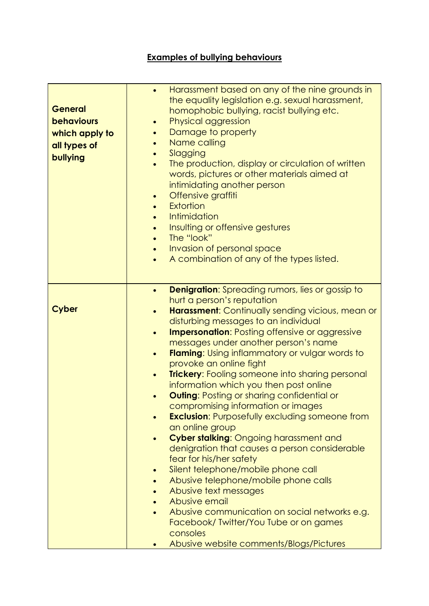# **Examples of bullying behaviours**

| <b>General</b><br><b>behaviours</b><br>which apply to<br>all types of<br>bullying | $\bullet$<br>$\bullet$<br>$\bullet$<br>$\bullet$<br>$\bullet$<br>$\bullet$<br>$\bullet$<br>$\bullet$<br>$\bullet$ | Harassment based on any of the nine grounds in<br>the equality legislation e.g. sexual harassment,<br>homophobic bullying, racist bullying etc.<br>Physical aggression<br>Damage to property<br>Name calling<br>Slagging<br>The production, display or circulation of written<br>words, pictures or other materials aimed at<br>intimidating another person<br>Offensive graffiti<br><b>Extortion</b><br>Intimidation<br>Insulting or offensive gestures<br>The "look"<br>Invasion of personal space<br>A combination of any of the types listed. |
|-----------------------------------------------------------------------------------|-------------------------------------------------------------------------------------------------------------------|---------------------------------------------------------------------------------------------------------------------------------------------------------------------------------------------------------------------------------------------------------------------------------------------------------------------------------------------------------------------------------------------------------------------------------------------------------------------------------------------------------------------------------------------------|
| <b>Cyber</b>                                                                      | $\bullet$                                                                                                         | <b>Denigration:</b> Spreading rumors, lies or gossip to<br>hurt a person's reputation                                                                                                                                                                                                                                                                                                                                                                                                                                                             |
|                                                                                   | $\bullet$                                                                                                         | <b>Harassment:</b> Continually sending vicious, mean or<br>disturbing messages to an individual                                                                                                                                                                                                                                                                                                                                                                                                                                                   |
|                                                                                   | $\bullet$                                                                                                         | <b>Impersonation:</b> Posting offensive or aggressive                                                                                                                                                                                                                                                                                                                                                                                                                                                                                             |
|                                                                                   |                                                                                                                   | messages under another person's name                                                                                                                                                                                                                                                                                                                                                                                                                                                                                                              |
|                                                                                   | $\bullet$                                                                                                         | <b>Flaming:</b> Using inflammatory or vulgar words to                                                                                                                                                                                                                                                                                                                                                                                                                                                                                             |
|                                                                                   |                                                                                                                   | provoke an online fight                                                                                                                                                                                                                                                                                                                                                                                                                                                                                                                           |
|                                                                                   | $\bullet$                                                                                                         | <b>Trickery:</b> Fooling someone into sharing personal                                                                                                                                                                                                                                                                                                                                                                                                                                                                                            |
|                                                                                   |                                                                                                                   | information which you then post online                                                                                                                                                                                                                                                                                                                                                                                                                                                                                                            |
|                                                                                   |                                                                                                                   | <b>Outing: Posting or sharing confidential or</b><br>compromising information or images                                                                                                                                                                                                                                                                                                                                                                                                                                                           |
|                                                                                   |                                                                                                                   | <b>Exclusion:</b> Purposefully excluding someone from                                                                                                                                                                                                                                                                                                                                                                                                                                                                                             |
|                                                                                   |                                                                                                                   | an online group                                                                                                                                                                                                                                                                                                                                                                                                                                                                                                                                   |
|                                                                                   |                                                                                                                   | Cyber stalking: Ongoing harassment and                                                                                                                                                                                                                                                                                                                                                                                                                                                                                                            |
|                                                                                   |                                                                                                                   | denigration that causes a person considerable                                                                                                                                                                                                                                                                                                                                                                                                                                                                                                     |
|                                                                                   |                                                                                                                   | fear for his/her safety                                                                                                                                                                                                                                                                                                                                                                                                                                                                                                                           |
|                                                                                   | $\bullet$                                                                                                         | Silent telephone/mobile phone call                                                                                                                                                                                                                                                                                                                                                                                                                                                                                                                |
|                                                                                   |                                                                                                                   | Abusive telephone/mobile phone calls<br>Abusive text messages                                                                                                                                                                                                                                                                                                                                                                                                                                                                                     |
|                                                                                   |                                                                                                                   | Abusive email                                                                                                                                                                                                                                                                                                                                                                                                                                                                                                                                     |
|                                                                                   |                                                                                                                   | Abusive communication on social networks e.g.                                                                                                                                                                                                                                                                                                                                                                                                                                                                                                     |
|                                                                                   |                                                                                                                   | Facebook/Twitter/You Tube or on games<br>consoles                                                                                                                                                                                                                                                                                                                                                                                                                                                                                                 |
|                                                                                   |                                                                                                                   | Abusive website comments/Blogs/Pictures                                                                                                                                                                                                                                                                                                                                                                                                                                                                                                           |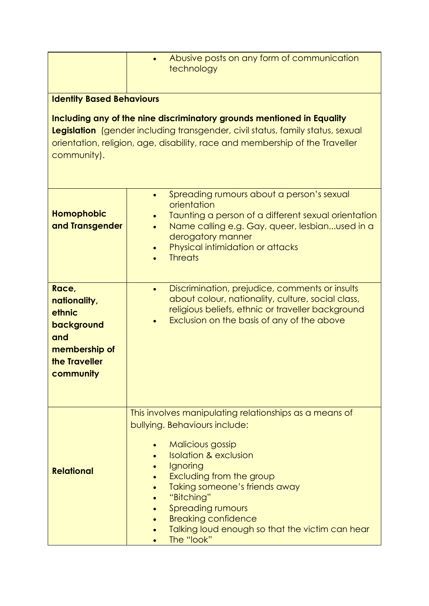|                                                                                                                                                                                                                                                         | Abusive posts on any form of communication<br>technology                                                                                                                                                                                                                                                                                                          |  |  |  |
|---------------------------------------------------------------------------------------------------------------------------------------------------------------------------------------------------------------------------------------------------------|-------------------------------------------------------------------------------------------------------------------------------------------------------------------------------------------------------------------------------------------------------------------------------------------------------------------------------------------------------------------|--|--|--|
| <b>Identity Based Behaviours</b>                                                                                                                                                                                                                        |                                                                                                                                                                                                                                                                                                                                                                   |  |  |  |
| Including any of the nine discriminatory grounds mentioned in Equality<br>Legislation (gender including transgender, civil status, family status, sexual<br>orientation, religion, age, disability, race and membership of the Traveller<br>community). |                                                                                                                                                                                                                                                                                                                                                                   |  |  |  |
| <b>Homophobic</b><br>and Transgender                                                                                                                                                                                                                    | Spreading rumours about a person's sexual<br>orientation<br>Taunting a person of a different sexual orientation<br>Name calling e.g. Gay, queer, lesbianused in a<br>derogatory manner<br>Physical intimidation or attacks<br><b>Threats</b>                                                                                                                      |  |  |  |
| Race,<br>nationality,<br>ethnic<br>background<br>and<br>membership of<br>the Traveller<br>community                                                                                                                                                     | Discrimination, prejudice, comments or insults<br>$\bullet$<br>about colour, nationality, culture, social class,<br>religious beliefs, ethnic or traveller background<br>Exclusion on the basis of any of the above                                                                                                                                               |  |  |  |
| <b>Relational</b>                                                                                                                                                                                                                                       | This involves manipulating relationships as a means of<br>bullying. Behaviours include:<br>Malicious gossip<br><b>Isolation &amp; exclusion</b><br>Ignoring<br>Excluding from the group<br>Taking someone's friends away<br>"Bitching"<br><b>Spreading rumours</b><br><b>Breaking confidence</b><br>Talking loud enough so that the victim can hear<br>The "look" |  |  |  |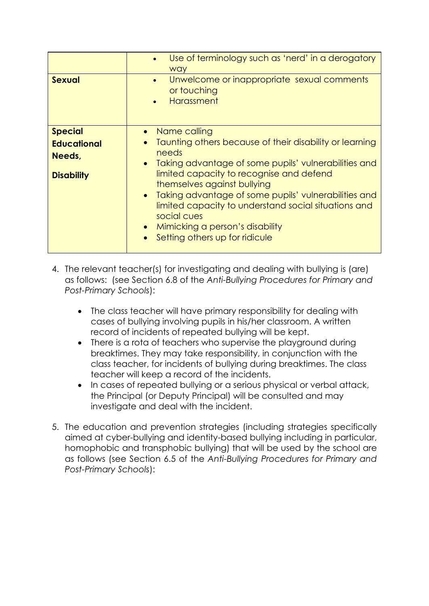|                                                                     | Use of terminology such as 'nerd' in a derogatory<br>way                                                                                                                                                                                                                                                                                                                                                                                                       |
|---------------------------------------------------------------------|----------------------------------------------------------------------------------------------------------------------------------------------------------------------------------------------------------------------------------------------------------------------------------------------------------------------------------------------------------------------------------------------------------------------------------------------------------------|
| <b>Sexual</b>                                                       | Unwelcome or inappropriate sexual comments<br>$\bullet$<br>or touching<br>Harassment                                                                                                                                                                                                                                                                                                                                                                           |
| <b>Special</b><br><b>Educational</b><br>Needs,<br><b>Disability</b> | Name calling<br>Taunting others because of their disability or learning<br>$\bullet$<br>needs<br>Taking advantage of some pupils' vulnerabilities and<br>$\bullet$<br>limited capacity to recognise and defend<br>themselves against bullying<br>Taking advantage of some pupils' vulnerabilities and<br>$\bullet$<br>limited capacity to understand social situations and<br>social cues<br>Mimicking a person's disability<br>Setting others up for ridicule |

- 4. The relevant teacher(s) for investigating and dealing with bullying is (are) as follows: (see Section 6.8 of the *Anti-Bullying Procedures for Primary and Post-Primary Schools*):
	- The class teacher will have primary responsibility for dealing with cases of bullying involving pupils in his/her classroom. A written record of incidents of repeated bullying will be kept.
	- There is a rota of teachers who supervise the playground during breaktimes. They may take responsibility, in conjunction with the class teacher, for incidents of bullying during breaktimes. The class teacher will keep a record of the incidents.
	- In cases of repeated bullying or a serious physical or verbal attack, the Principal (or Deputy Principal) will be consulted and may investigate and deal with the incident.
- 5. The education and prevention strategies (including strategies specifically aimed at cyber-bullying and identity-based bullying including in particular, homophobic and transphobic bullying) that will be used by the school are as follows (see Section 6.5 of the *Anti-Bullying Procedures for Primary and Post-Primary Schools*):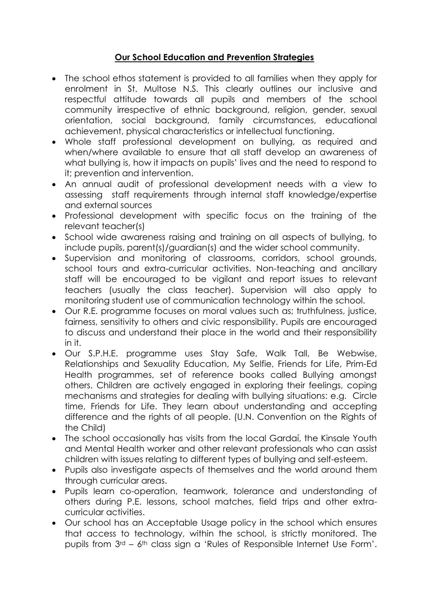#### **Our School Education and Prevention Strategies**

- The school ethos statement is provided to all families when they apply for enrolment in St. Multose N.S. This clearly outlines our inclusive and respectful attitude towards all pupils and members of the school community irrespective of ethnic background, religion, gender, sexual orientation, social background, family circumstances, educational achievement, physical characteristics or intellectual functioning.
- Whole staff professional development on bullying, as required and when/where available to ensure that all staff develop an awareness of what bullying is, how it impacts on pupils' lives and the need to respond to it; prevention and intervention.
- An annual audit of professional development needs with a view to assessing staff requirements through internal staff knowledge/expertise and external sources
- Professional development with specific focus on the training of the relevant teacher(s)
- School wide awareness raising and training on all aspects of bullying, to include pupils, parent(s)/guardian(s) and the wider school community.
- Supervision and monitoring of classrooms, corridors, school grounds, school tours and extra-curricular activities. Non-teaching and ancillary staff will be encouraged to be vigilant and report issues to relevant teachers (usually the class teacher). Supervision will also apply to monitoring student use of communication technology within the school.
- Our R.E. programme focuses on moral values such as; truthfulness, justice, fairness, sensitivity to others and civic responsibility. Pupils are encouraged to discuss and understand their place in the world and their responsibility in it.
- Our S.P.H.E. programme uses Stay Safe, Walk Tall, Be Webwise, Relationships and Sexuality Education, My Selfie, Friends for Life, Prim-Ed Health programmes, set of reference books called Bullying amongst others. Children are actively engaged in exploring their feelings, coping mechanisms and strategies for dealing with bullying situations: e.g. Circle time, Friends for Life. They learn about understanding and accepting difference and the rights of all people. (U.N. Convention on the Rights of the Child)
- The school occasionally has visits from the local Gardaí, the Kinsale Youth and Mental Health worker and other relevant professionals who can assist children with issues relating to different types of bullying and self-esteem.
- Pupils also investigate aspects of themselves and the world around them through curricular areas.
- Pupils learn co-operation, teamwork, tolerance and understanding of others during P.E. lessons, school matches, field trips and other extracurricular activities.
- Our school has an Acceptable Usage policy in the school which ensures that access to technology, within the school, is strictly monitored. The pupils from 3rd – 6th class sign a 'Rules of Responsible Internet Use Form'.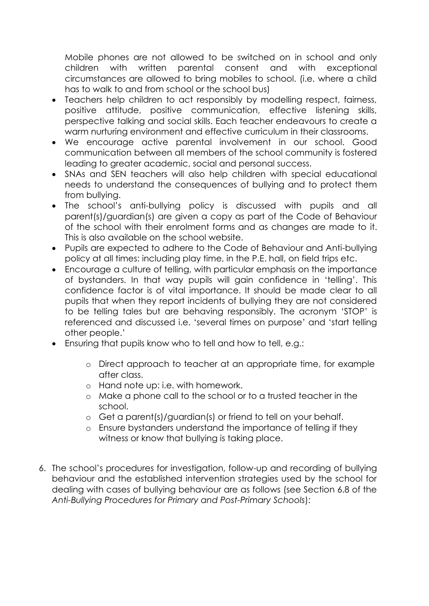Mobile phones are not allowed to be switched on in school and only children with written parental consent and with exceptional circumstances are allowed to bring mobiles to school. (i.e. where a child has to walk to and from school or the school bus)

- Teachers help children to act responsibly by modelling respect, fairness, positive attitude, positive communication, effective listening skills, perspective talking and social skills. Each teacher endeavours to create a warm nurturing environment and effective curriculum in their classrooms.
- We encourage active parental involvement in our school. Good communication between all members of the school community is fostered leading to greater academic, social and personal success.
- SNAs and SEN teachers will also help children with special educational needs to understand the consequences of bullying and to protect them from bullying.
- The school's anti-bullying policy is discussed with pupils and all parent(s)/guardian(s) are given a copy as part of the Code of Behaviour of the school with their enrolment forms and as changes are made to it. This is also available on the school website.
- Pupils are expected to adhere to the Code of Behaviour and Anti-bullying policy at all times: including play time, in the P.E. hall, on field trips etc.
- Encourage a culture of telling, with particular emphasis on the importance of bystanders. In that way pupils will gain confidence in 'telling'. This confidence factor is of vital importance. It should be made clear to all pupils that when they report incidents of bullying they are not considered to be telling tales but are behaving responsibly. The acronym 'STOP' is referenced and discussed i.e. 'several times on purpose' and 'start telling other people.'
- Ensuring that pupils know who to tell and how to tell, e.g.:
	- o Direct approach to teacher at an appropriate time, for example after class.
	- o Hand note up: i.e. with homework.
	- o Make a phone call to the school or to a trusted teacher in the school.
	- o Get a parent(s)/guardian(s) or friend to tell on your behalf.
	- o Ensure bystanders understand the importance of telling if they witness or know that bullying is taking place.
- 6. The school's procedures for investigation, follow-up and recording of bullying behaviour and the established intervention strategies used by the school for dealing with cases of bullying behaviour are as follows (see Section 6.8 of the *Anti-Bullying Procedures for Primary and Post-Primary Schools*):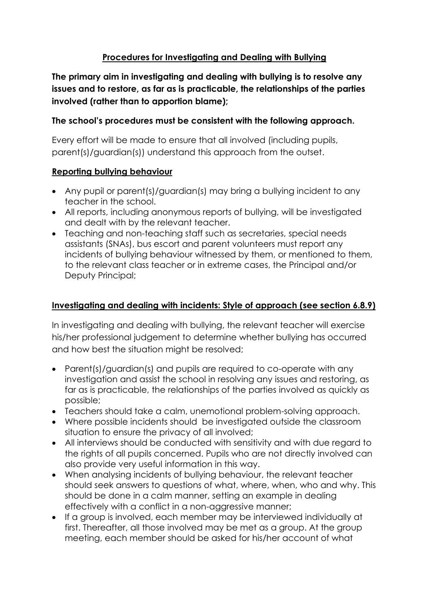#### **Procedures for Investigating and Dealing with Bullying**

**The primary aim in investigating and dealing with bullying is to resolve any issues and to restore, as far as is practicable, the relationships of the parties involved (rather than to apportion blame);**

#### **The school's procedures must be consistent with the following approach.**

Every effort will be made to ensure that all involved (including pupils, parent(s)/guardian(s)) understand this approach from the outset.

#### **Reporting bullying behaviour**

- Any pupil or parent(s)/guardian(s) may bring a bullying incident to any teacher in the school.
- All reports, including anonymous reports of bullying, will be investigated and dealt with by the relevant teacher.
- Teaching and non-teaching staff such as secretaries, special needs assistants (SNAs), bus escort and parent volunteers must report any incidents of bullying behaviour witnessed by them, or mentioned to them, to the relevant class teacher or in extreme cases, the Principal and/or Deputy Principal;

#### **Investigating and dealing with incidents: Style of approach (see section 6.8.9)**

In investigating and dealing with bullying, the relevant teacher will exercise his/her professional judgement to determine whether bullying has occurred and how best the situation might be resolved;

- Parent(s)/guardian(s) and pupils are required to co-operate with any investigation and assist the school in resolving any issues and restoring, as far as is practicable, the relationships of the parties involved as quickly as possible;
- Teachers should take a calm, unemotional problem-solving approach.
- Where possible incidents should be investigated outside the classroom situation to ensure the privacy of all involved;
- All interviews should be conducted with sensitivity and with due regard to the rights of all pupils concerned. Pupils who are not directly involved can also provide very useful information in this way.
- When analysing incidents of bullying behaviour, the relevant teacher should seek answers to questions of what, where, when, who and why. This should be done in a calm manner, setting an example in dealing effectively with a conflict in a non-aggressive manner;
- If a group is involved, each member may be interviewed individually at first. Thereafter, all those involved may be met as a group. At the group meeting, each member should be asked for his/her account of what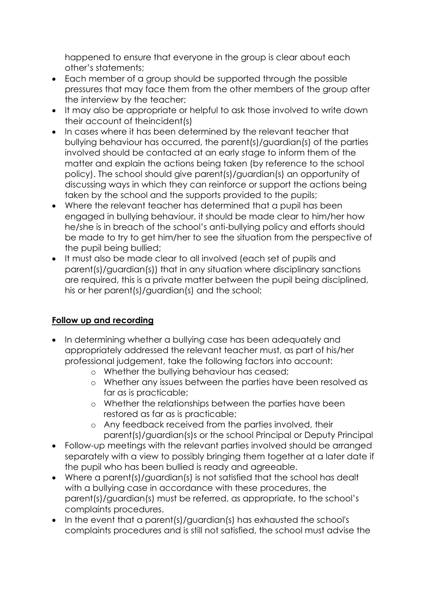happened to ensure that everyone in the group is clear about each other's statements;

- Each member of a group should be supported through the possible pressures that may face them from the other members of the group after the interview by the teacher;
- It may also be appropriate or helpful to ask those involved to write down their account of theincident(s)
- In cases where it has been determined by the relevant teacher that bullying behaviour has occurred, the parent(s)/guardian(s) of the parties involved should be contacted at an early stage to inform them of the matter and explain the actions being taken (by reference to the school policy). The school should give parent(s)/guardian(s) an opportunity of discussing ways in which they can reinforce or support the actions being taken by the school and the supports provided to the pupils;
- Where the relevant teacher has determined that a pupil has been engaged in bullying behaviour, it should be made clear to him/her how he/she is in breach of the school's anti-bullying policy and efforts should be made to try to get him/her to see the situation from the perspective of the pupil being bullied;
- It must also be made clear to all involved (each set of pupils and parent(s)/guardian(s)) that in any situation where disciplinary sanctions are required, this is a private matter between the pupil being disciplined, his or her parent(s)/guardian(s) and the school;

#### **Follow up and recording**

- In determining whether a bullying case has been adequately and appropriately addressed the relevant teacher must, as part of his/her professional judgement, take the following factors into account:
	- o Whether the bullying behaviour has ceased;
	- o Whether any issues between the parties have been resolved as far as is practicable;
	- o Whether the relationships between the parties have been restored as far as is practicable;
	- o Any feedback received from the parties involved, their parent(s)/guardian(s)s or the school Principal or Deputy Principal
- Follow-up meetings with the relevant parties involved should be arranged separately with a view to possibly bringing them together at a later date if the pupil who has been bullied is ready and agreeable.
- Where a parent(s)/guardian(s) is not satisfied that the school has dealt with a bullying case in accordance with these procedures, the parent(s)/guardian(s) must be referred, as appropriate, to the school's complaints procedures.
- In the event that a parent(s)/guardian(s) has exhausted the school's complaints procedures and is still not satisfied, the school must advise the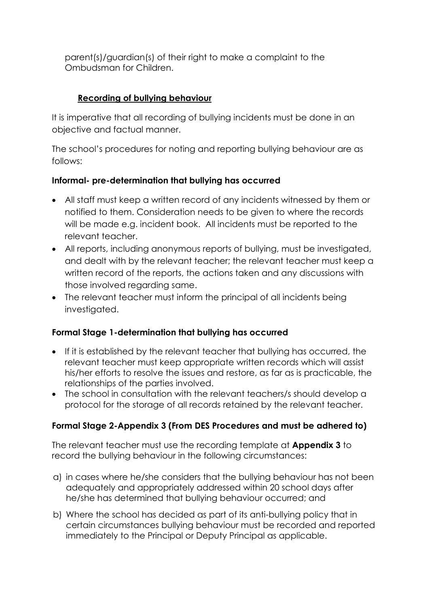parent(s)/guardian(s) of their right to make a complaint to the Ombudsman for Children.

### **Recording of bullying behaviour**

It is imperative that all recording of bullying incidents must be done in an objective and factual manner.

The school's procedures for noting and reporting bullying behaviour are as follows:

#### **Informal- pre-determination that bullying has occurred**

- All staff must keep a written record of any incidents witnessed by them or notified to them. Consideration needs to be given to where the records will be made e.g. incident book. All incidents must be reported to the relevant teacher.
- All reports, including anonymous reports of bullying, must be investigated, and dealt with by the relevant teacher; the relevant teacher must keep a written record of the reports, the actions taken and any discussions with those involved regarding same.
- The relevant teacher must inform the principal of all incidents being investigated.

#### **Formal Stage 1-determination that bullying has occurred**

- If it is established by the relevant teacher that bullying has occurred, the relevant teacher must keep appropriate written records which will assist his/her efforts to resolve the issues and restore, as far as is practicable, the relationships of the parties involved.
- The school in consultation with the relevant teachers/s should develop a protocol for the storage of all records retained by the relevant teacher.

## **Formal Stage 2-Appendix 3 (From DES Procedures and must be adhered to)**

The relevant teacher must use the recording template at **Appendix 3** to record the bullying behaviour in the following circumstances:

- a) in cases where he/she considers that the bullying behaviour has not been adequately and appropriately addressed within 20 school days after he/she has determined that bullying behaviour occurred; and
- b) Where the school has decided as part of its anti-bullying policy that in certain circumstances bullying behaviour must be recorded and reported immediately to the Principal or Deputy Principal as applicable.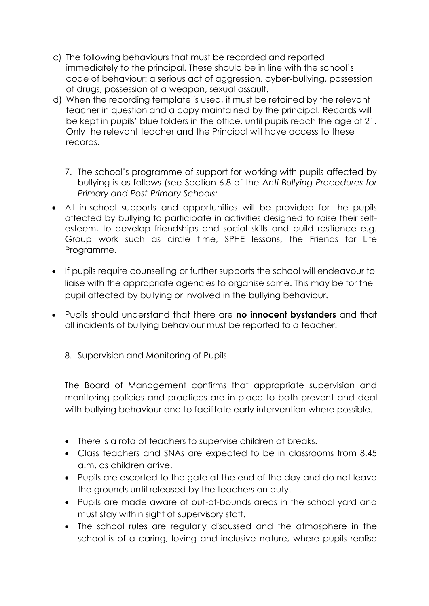- c) The following behaviours that must be recorded and reported immediately to the principal. These should be in line with the school's code of behaviour: a serious act of aggression, cyber-bullying, possession of drugs, possession of a weapon, sexual assault.
- d) When the recording template is used, it must be retained by the relevant teacher in question and a copy maintained by the principal. Records will be kept in pupils' blue folders in the office, until pupils reach the age of 21. Only the relevant teacher and the Principal will have access to these records.
	- 7. The school's programme of support for working with pupils affected by bullying is as follows (see Section 6.8 of the *Anti-Bullying Procedures for Primary and Post-Primary Schools:*
- All in-school supports and opportunities will be provided for the pupils affected by bullying to participate in activities designed to raise their selfesteem, to develop friendships and social skills and build resilience e.g. Group work such as circle time, SPHE lessons, the Friends for Life Programme.
- If pupils require counselling or further supports the school will endeavour to liaise with the appropriate agencies to organise same. This may be for the pupil affected by bullying or involved in the bullying behaviour.
- Pupils should understand that there are **no innocent bystanders** and that all incidents of bullying behaviour must be reported to a teacher.
	- 8. Supervision and Monitoring of Pupils

The Board of Management confirms that appropriate supervision and monitoring policies and practices are in place to both prevent and deal with bullying behaviour and to facilitate early intervention where possible.

- There is a rota of teachers to supervise children at breaks.
- Class teachers and SNAs are expected to be in classrooms from 8.45 a.m. as children arrive.
- Pupils are escorted to the gate at the end of the day and do not leave the grounds until released by the teachers on duty.
- Pupils are made aware of out-of-bounds areas in the school yard and must stay within sight of supervisory staff.
- The school rules are regularly discussed and the atmosphere in the school is of a caring, loving and inclusive nature, where pupils realise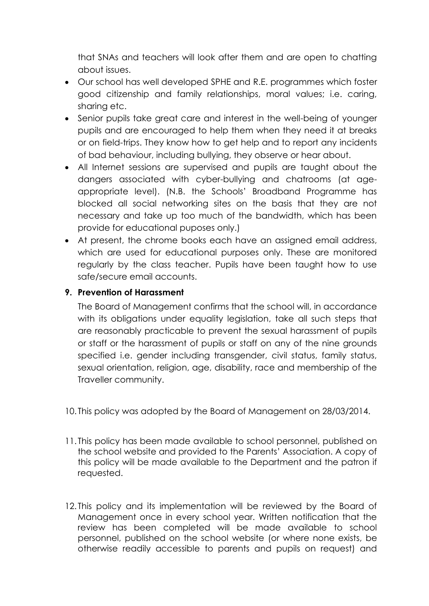that SNAs and teachers will look after them and are open to chatting about issues.

- Our school has well developed SPHE and R.E. programmes which foster good citizenship and family relationships, moral values; i.e. caring, sharing etc.
- Senior pupils take great care and interest in the well-being of younger pupils and are encouraged to help them when they need it at breaks or on field-trips. They know how to get help and to report any incidents of bad behaviour, including bullying, they observe or hear about.
- All Internet sessions are supervised and pupils are taught about the dangers associated with cyber-bullying and chatrooms (at ageappropriate level). (N.B. the Schools' Broadband Programme has blocked all social networking sites on the basis that they are not necessary and take up too much of the bandwidth, which has been provide for educational puposes only.)
- At present, the chrome books each have an assigned email address, which are used for educational purposes only. These are monitored regularly by the class teacher. Pupils have been taught how to use safe/secure email accounts.

#### **9. Prevention of Harassment**

The Board of Management confirms that the school will, in accordance with its obligations under equality legislation, take all such steps that are reasonably practicable to prevent the sexual harassment of pupils or staff or the harassment of pupils or staff on any of the nine grounds specified i.e. gender including transgender, civil status, family status, sexual orientation, religion, age, disability, race and membership of the Traveller community.

- 10. This policy was adopted by the Board of Management on 28/03/2014.
- 11. This policy has been made available to school personnel, published on the school website and provided to the Parents' Association. A copy of this policy will be made available to the Department and the patron if requested.
- 12. This policy and its implementation will be reviewed by the Board of Management once in every school year. Written notification that the review has been completed will be made available to school personnel, published on the school website (or where none exists, be otherwise readily accessible to parents and pupils on request) and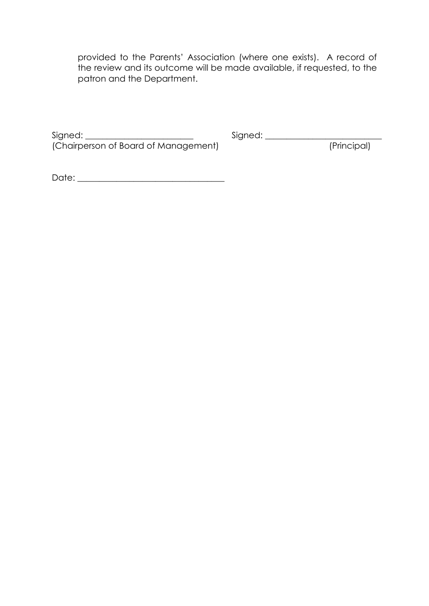provided to the Parents' Association (where one exists). A record of the review and its outcome will be made available, if requested, to the patron and the Department.

Signed: \_\_\_\_\_\_\_\_\_\_\_\_\_\_\_\_\_\_\_\_\_\_\_\_\_ Signed: \_\_\_\_\_\_\_\_\_\_\_\_\_\_\_\_\_\_\_\_\_\_\_\_\_\_\_ (Chairperson of Board of Management) (Principal)

Date: \_\_\_\_\_\_\_\_\_\_\_\_\_\_\_\_\_\_\_\_\_\_\_\_\_\_\_\_\_\_\_\_\_\_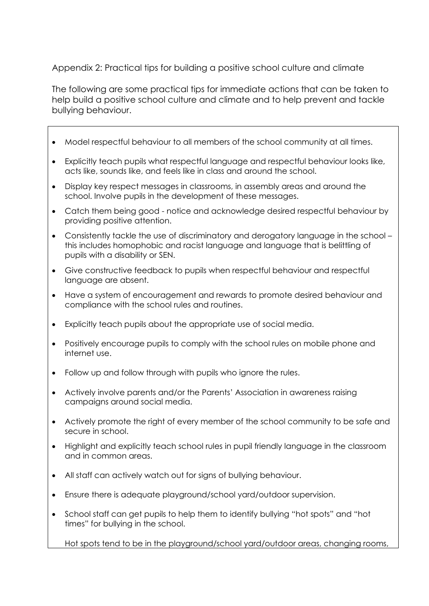Appendix 2: Practical tips for building a positive school culture and climate

The following are some practical tips for immediate actions that can be taken to help build a positive school culture and climate and to help prevent and tackle bullying behaviour.

- Model respectful behaviour to all members of the school community at all times.
- Explicitly teach pupils what respectful language and respectful behaviour looks like, acts like, sounds like, and feels like in class and around the school.
- Display key respect messages in classrooms, in assembly areas and around the school. Involve pupils in the development of these messages.
- Catch them being good notice and acknowledge desired respectful behaviour by providing positive attention.
- Consistently tackle the use of discriminatory and derogatory language in the school this includes homophobic and racist language and language that is belittling of pupils with a disability or SEN.
- Give constructive feedback to pupils when respectful behaviour and respectful language are absent.
- Have a system of encouragement and rewards to promote desired behaviour and compliance with the school rules and routines.
- Explicitly teach pupils about the appropriate use of social media.
- Positively encourage pupils to comply with the school rules on mobile phone and internet use.
- Follow up and follow through with pupils who ignore the rules.
- Actively involve parents and/or the Parents' Association in awareness raising campaigns around social media.
- Actively promote the right of every member of the school community to be safe and secure in school.
- Highlight and explicitly teach school rules in pupil friendly language in the classroom and in common areas.
- All staff can actively watch out for signs of bullying behaviour.
- Ensure there is adequate playground/school yard/outdoor supervision.
- School staff can get pupils to help them to identify bullying "hot spots" and "hot times" for bullying in the school.

Hot spots tend to be in the playground/school yard/outdoor areas, changing rooms,